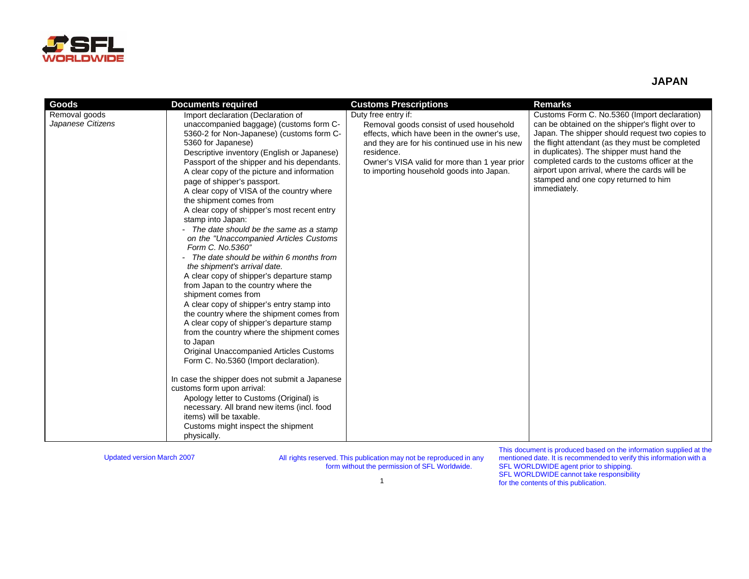

## **JAPAN**

| Goods             | <b>Documents required</b>                                                                                                                                                                                                                                                                                                                                                                                                                                                                                                                                                                                                                                                                                                                                                                                                                                                                                                                                                                                                                                                                                                                                                                                                  | <b>Customs Prescriptions</b>                                                                                                                                                                                                                        | <b>Remarks</b>                                                                                                                                                                                                                                                                                                                                               |
|-------------------|----------------------------------------------------------------------------------------------------------------------------------------------------------------------------------------------------------------------------------------------------------------------------------------------------------------------------------------------------------------------------------------------------------------------------------------------------------------------------------------------------------------------------------------------------------------------------------------------------------------------------------------------------------------------------------------------------------------------------------------------------------------------------------------------------------------------------------------------------------------------------------------------------------------------------------------------------------------------------------------------------------------------------------------------------------------------------------------------------------------------------------------------------------------------------------------------------------------------------|-----------------------------------------------------------------------------------------------------------------------------------------------------------------------------------------------------------------------------------------------------|--------------------------------------------------------------------------------------------------------------------------------------------------------------------------------------------------------------------------------------------------------------------------------------------------------------------------------------------------------------|
| Removal goods     | Import declaration (Declaration of                                                                                                                                                                                                                                                                                                                                                                                                                                                                                                                                                                                                                                                                                                                                                                                                                                                                                                                                                                                                                                                                                                                                                                                         | Duty free entry if:                                                                                                                                                                                                                                 | Customs Form C. No.5360 (Import declaration)                                                                                                                                                                                                                                                                                                                 |
| Japanese Citizens | unaccompanied baggage) (customs form C-<br>5360-2 for Non-Japanese) (customs form C-<br>5360 for Japanese)<br>Descriptive inventory (English or Japanese)<br>Passport of the shipper and his dependants.<br>A clear copy of the picture and information<br>page of shipper's passport.<br>A clear copy of VISA of the country where<br>the shipment comes from<br>A clear copy of shipper's most recent entry<br>stamp into Japan:<br>The date should be the same as a stamp<br>on the "Unaccompanied Articles Customs"<br>Form C. No.5360"<br>The date should be within 6 months from<br>the shipment's arrival date.<br>A clear copy of shipper's departure stamp<br>from Japan to the country where the<br>shipment comes from<br>A clear copy of shipper's entry stamp into<br>the country where the shipment comes from<br>A clear copy of shipper's departure stamp<br>from the country where the shipment comes<br>to Japan<br>Original Unaccompanied Articles Customs<br>Form C. No.5360 (Import declaration).<br>In case the shipper does not submit a Japanese<br>customs form upon arrival:<br>Apology letter to Customs (Original) is<br>necessary. All brand new items (incl. food<br>items) will be taxable. | Removal goods consist of used household<br>effects, which have been in the owner's use,<br>and they are for his continued use in his new<br>residence.<br>Owner's VISA valid for more than 1 year prior<br>to importing household goods into Japan. | can be obtained on the shipper's flight over to<br>Japan. The shipper should request two copies to<br>the flight attendant (as they must be completed<br>in duplicates). The shipper must hand the<br>completed cards to the customs officer at the<br>airport upon arrival, where the cards will be<br>stamped and one copy returned to him<br>immediately. |
|                   | Customs might inspect the shipment<br>physically.                                                                                                                                                                                                                                                                                                                                                                                                                                                                                                                                                                                                                                                                                                                                                                                                                                                                                                                                                                                                                                                                                                                                                                          |                                                                                                                                                                                                                                                     |                                                                                                                                                                                                                                                                                                                                                              |

Updated version March 2007 All rights reserved. This publication may not be reproduced in any form without the permission of SFL Worldwide.

This document is produced based on the information supplied at the mentioned date. It is recommended to verify this information with a SFL WORLDWIDE agent prior to shipping. SFL WORLDWIDE cannot take responsibility for the contents of this publication.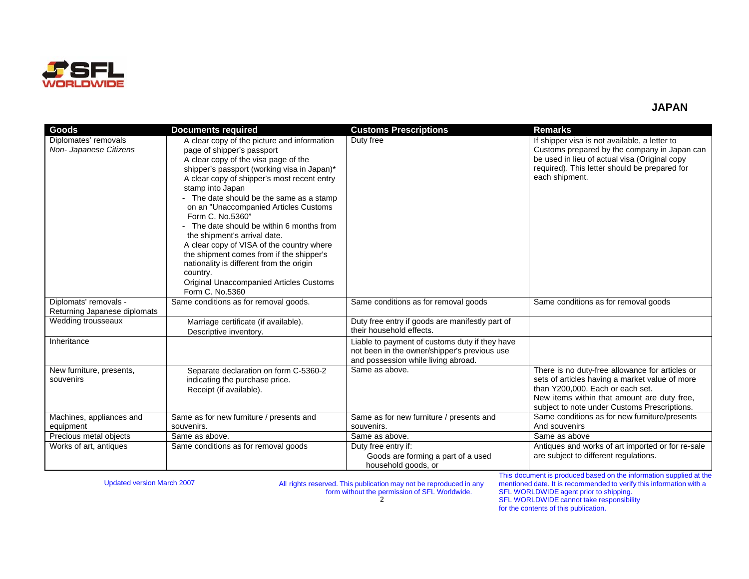

## **JAPAN**

| <b>Goods</b>                                          | <b>Documents required</b>                                                                                                                                                                                                                                                                                                                                                                                                                                                                                                                                                                                                                       | <b>Customs Prescriptions</b>                                                                                                          | <b>Remarks</b>                                                                                                                                                                                                                       |
|-------------------------------------------------------|-------------------------------------------------------------------------------------------------------------------------------------------------------------------------------------------------------------------------------------------------------------------------------------------------------------------------------------------------------------------------------------------------------------------------------------------------------------------------------------------------------------------------------------------------------------------------------------------------------------------------------------------------|---------------------------------------------------------------------------------------------------------------------------------------|--------------------------------------------------------------------------------------------------------------------------------------------------------------------------------------------------------------------------------------|
| Diplomates' removals<br>Non- Japanese Citizens        | A clear copy of the picture and information<br>page of shipper's passport<br>A clear copy of the visa page of the<br>shipper's passport (working visa in Japan)*<br>A clear copy of shipper's most recent entry<br>stamp into Japan<br>- The date should be the same as a stamp<br>on an "Unaccompanied Articles Customs<br>Form C. No.5360"<br>- The date should be within 6 months from<br>the shipment's arrival date.<br>A clear copy of VISA of the country where<br>the shipment comes from if the shipper's<br>nationality is different from the origin<br>country.<br><b>Original Unaccompanied Articles Customs</b><br>Form C. No.5360 | Duty free                                                                                                                             | If shipper visa is not available, a letter to<br>Customs prepared by the company in Japan can<br>be used in lieu of actual visa (Original copy<br>required). This letter should be prepared for<br>each shipment.                    |
| Diplomats' removals -<br>Returning Japanese diplomats | Same conditions as for removal goods.                                                                                                                                                                                                                                                                                                                                                                                                                                                                                                                                                                                                           | Same conditions as for removal goods                                                                                                  | Same conditions as for removal goods                                                                                                                                                                                                 |
| Wedding trousseaux                                    | Marriage certificate (if available).<br>Descriptive inventory.                                                                                                                                                                                                                                                                                                                                                                                                                                                                                                                                                                                  | Duty free entry if goods are manifestly part of<br>their household effects.                                                           |                                                                                                                                                                                                                                      |
| Inheritance                                           |                                                                                                                                                                                                                                                                                                                                                                                                                                                                                                                                                                                                                                                 | Liable to payment of customs duty if they have<br>not been in the owner/shipper's previous use<br>and possession while living abroad. |                                                                                                                                                                                                                                      |
| New furniture, presents,<br>souvenirs                 | Separate declaration on form C-5360-2<br>indicating the purchase price.<br>Receipt (if available).                                                                                                                                                                                                                                                                                                                                                                                                                                                                                                                                              | Same as above.                                                                                                                        | There is no duty-free allowance for articles or<br>sets of articles having a market value of more<br>than Y200,000. Each or each set.<br>New items within that amount are duty free,<br>subject to note under Customs Prescriptions. |
| Machines, appliances and                              | Same as for new furniture / presents and                                                                                                                                                                                                                                                                                                                                                                                                                                                                                                                                                                                                        | Same as for new furniture / presents and                                                                                              | Same conditions as for new furniture/presents                                                                                                                                                                                        |
| equipment                                             | souvenirs.                                                                                                                                                                                                                                                                                                                                                                                                                                                                                                                                                                                                                                      | souvenirs.                                                                                                                            | And souvenirs                                                                                                                                                                                                                        |
| Precious metal objects                                | Same as above.                                                                                                                                                                                                                                                                                                                                                                                                                                                                                                                                                                                                                                  | Same as above.                                                                                                                        | Same as above                                                                                                                                                                                                                        |
| Works of art, antiques                                | Same conditions as for removal goods                                                                                                                                                                                                                                                                                                                                                                                                                                                                                                                                                                                                            | Duty free entry if:<br>Goods are forming a part of a used<br>household goods, or                                                      | Antiques and works of art imported or for re-sale<br>are subject to different regulations.<br>This document is produced based on the information supplied at the                                                                     |

Updated version March 2007 All rights reserved. This publication may not be reproduced in any form without the permission of SFL Worldwide. 2

This document is produced based on the information supplied at the mentioned date. It is recommended to verify this information with a SFL WORLDWIDE agent prior to shipping. SFL WORLDWIDE cannot take responsibility for the contents of this publication.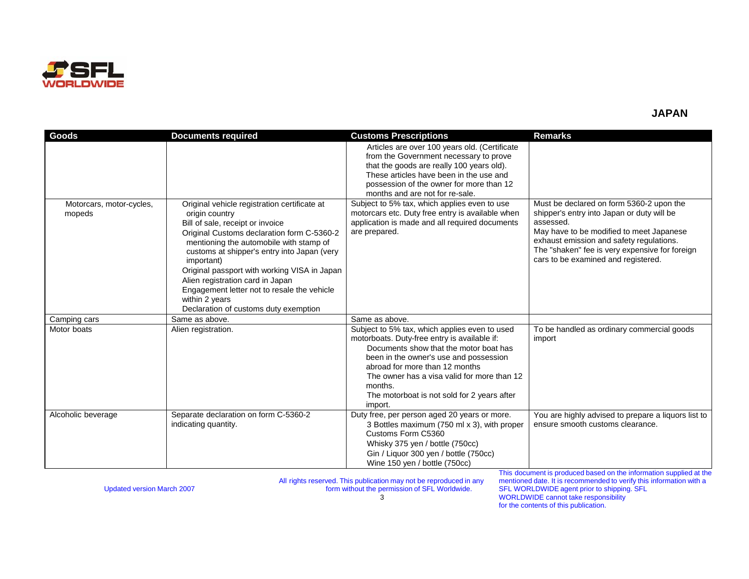

| Goods                              | <b>Documents required</b>                                                                                                                                                                                                                                                                                                                                                                                                                              | <b>Customs Prescriptions</b>                                                                                                                                                                                                                                                                                                            | <b>Remarks</b>                                                                                                                                                                                                                                                                       |
|------------------------------------|--------------------------------------------------------------------------------------------------------------------------------------------------------------------------------------------------------------------------------------------------------------------------------------------------------------------------------------------------------------------------------------------------------------------------------------------------------|-----------------------------------------------------------------------------------------------------------------------------------------------------------------------------------------------------------------------------------------------------------------------------------------------------------------------------------------|--------------------------------------------------------------------------------------------------------------------------------------------------------------------------------------------------------------------------------------------------------------------------------------|
|                                    |                                                                                                                                                                                                                                                                                                                                                                                                                                                        | Articles are over 100 years old. (Certificate<br>from the Government necessary to prove<br>that the goods are really 100 years old).<br>These articles have been in the use and<br>possession of the owner for more than 12<br>months and are not for re-sale.                                                                          |                                                                                                                                                                                                                                                                                      |
| Motorcars, motor-cycles,<br>mopeds | Original vehicle registration certificate at<br>origin country<br>Bill of sale, receipt or invoice<br>Original Customs declaration form C-5360-2<br>mentioning the automobile with stamp of<br>customs at shipper's entry into Japan (very<br>important)<br>Original passport with working VISA in Japan<br>Alien registration card in Japan<br>Engagement letter not to resale the vehicle<br>within 2 years<br>Declaration of customs duty exemption | Subject to 5% tax, which applies even to use<br>motorcars etc. Duty free entry is available when<br>application is made and all required documents<br>are prepared.                                                                                                                                                                     | Must be declared on form 5360-2 upon the<br>shipper's entry into Japan or duty will be<br>assessed.<br>May have to be modified to meet Japanese<br>exhaust emission and safety regulations.<br>The "shaken" fee is very expensive for foreign<br>cars to be examined and registered. |
| Camping cars                       | Same as above.                                                                                                                                                                                                                                                                                                                                                                                                                                         | Same as above.                                                                                                                                                                                                                                                                                                                          |                                                                                                                                                                                                                                                                                      |
| Motor boats                        | Alien registration.                                                                                                                                                                                                                                                                                                                                                                                                                                    | Subject to 5% tax, which applies even to used<br>motorboats. Duty-free entry is available if:<br>Documents show that the motor boat has<br>been in the owner's use and possession<br>abroad for more than 12 months<br>The owner has a visa valid for more than 12<br>months.<br>The motorboat is not sold for 2 years after<br>import. | To be handled as ordinary commercial goods<br>import                                                                                                                                                                                                                                 |
| Alcoholic beverage                 | Separate declaration on form C-5360-2<br>indicating quantity.                                                                                                                                                                                                                                                                                                                                                                                          | Duty free, per person aged 20 years or more.<br>3 Bottles maximum (750 ml x 3), with proper<br>Customs Form C5360<br>Whisky 375 yen / bottle (750cc)<br>Gin / Liquor 300 yen / bottle (750cc)<br>Wine 150 yen / bottle (750cc)<br>エレジュ コンファ                                                                                             | You are highly advised to prepare a liguors list to<br>ensure smooth customs clearance.                                                                                                                                                                                              |

All rights reserved. This publication may not be reproduced in any form without the permission of SFL Worldwide.

Updated version March 2007

This document is produced based on the information supplied at the mentioned date. It is recommended to verify this information with a SFL WORLDWIDE agent prior to shipping. SFL WORLDWIDE cannot take responsibility for the contents of this publication.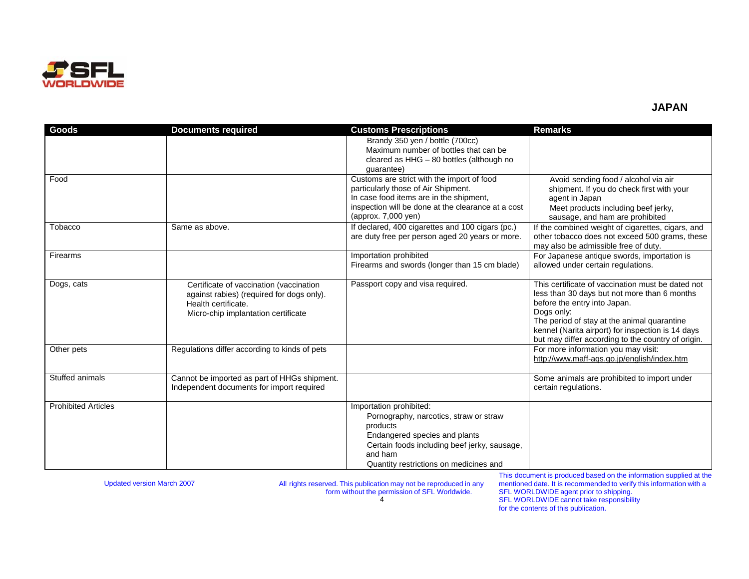

## **JAPAN**

| <b>Goods</b>               | <b>Documents required</b>                                                                                   | <b>Customs Prescriptions</b>                                                                        | <b>Remarks</b>                                                                                                                                         |
|----------------------------|-------------------------------------------------------------------------------------------------------------|-----------------------------------------------------------------------------------------------------|--------------------------------------------------------------------------------------------------------------------------------------------------------|
|                            |                                                                                                             | Brandy 350 yen / bottle (700cc)<br>Maximum number of bottles that can be                            |                                                                                                                                                        |
|                            |                                                                                                             | cleared as HHG - 80 bottles (although no                                                            |                                                                                                                                                        |
|                            |                                                                                                             | quarantee)                                                                                          |                                                                                                                                                        |
| Food                       |                                                                                                             | Customs are strict with the import of food<br>particularly those of Air Shipment.                   | Avoid sending food / alcohol via air<br>shipment. If you do check first with your                                                                      |
|                            |                                                                                                             | In case food items are in the shipment,                                                             | agent in Japan                                                                                                                                         |
|                            |                                                                                                             | inspection will be done at the clearance at a cost                                                  | Meet products including beef jerky,                                                                                                                    |
|                            |                                                                                                             | (approx. 7,000 yen)                                                                                 | sausage, and ham are prohibited                                                                                                                        |
| Tobacco                    | Same as above.                                                                                              | If declared, 400 cigarettes and 100 cigars (pc.)<br>are duty free per person aged 20 years or more. | If the combined weight of cigarettes, cigars, and<br>other tobacco does not exceed 500 grams, these                                                    |
|                            |                                                                                                             |                                                                                                     | may also be admissible free of duty.                                                                                                                   |
| Firearms                   |                                                                                                             | Importation prohibited                                                                              | For Japanese antique swords, importation is                                                                                                            |
|                            |                                                                                                             | Firearms and swords (longer than 15 cm blade)                                                       | allowed under certain regulations.                                                                                                                     |
| Dogs, cats                 | Certificate of vaccination (vaccination<br>against rabies) (required for dogs only).<br>Health certificate. | Passport copy and visa required.                                                                    | This certificate of vaccination must be dated not<br>less than 30 days but not more than 6 months<br>before the entry into Japan.<br>Dogs only:        |
|                            | Micro-chip implantation certificate                                                                         |                                                                                                     | The period of stay at the animal quarantine<br>kennel (Narita airport) for inspection is 14 days<br>but may differ according to the country of origin. |
| Other pets                 | Regulations differ according to kinds of pets                                                               |                                                                                                     | For more information you may visit:<br>http://www.maff-aqs.go.jp/english/index.htm                                                                     |
| Stuffed animals            | Cannot be imported as part of HHGs shipment.<br>Independent documents for import required                   |                                                                                                     | Some animals are prohibited to import under<br>certain regulations.                                                                                    |
| <b>Prohibited Articles</b> |                                                                                                             | Importation prohibited:                                                                             |                                                                                                                                                        |
|                            |                                                                                                             | Pornography, narcotics, straw or straw<br>products                                                  |                                                                                                                                                        |
|                            |                                                                                                             | Endangered species and plants                                                                       |                                                                                                                                                        |
|                            |                                                                                                             | Certain foods including beef jerky, sausage,                                                        |                                                                                                                                                        |
|                            |                                                                                                             | and ham                                                                                             |                                                                                                                                                        |
|                            |                                                                                                             | Quantity restrictions on medicines and                                                              |                                                                                                                                                        |

Updated version March 2007 All rights reserved. This publication may not be reproduced in any form without the permission of SFL Worldwide. 4

This document is produced based on the information supplied at the mentioned date. It is recommended to verify this information with a SFL WORLDWIDE agent prior to shipping. SFL WORLDWIDE cannot take responsibility for the contents of this publication.